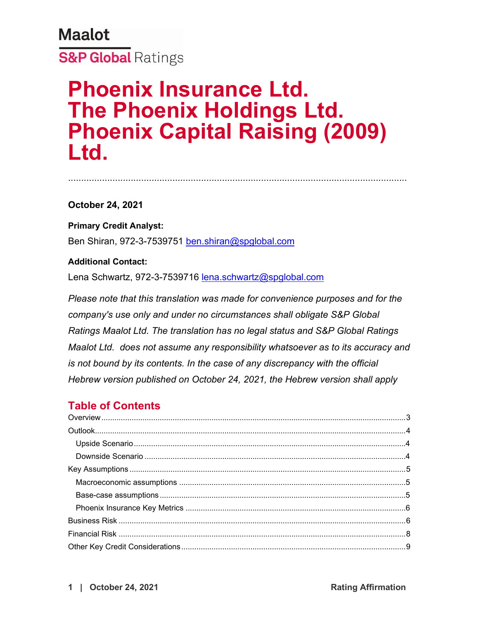..................................................................................................................................

**October 24, 2021**

**Primary Credit Analyst:** Ben Shiran, 972-3-7539751 [ben.shiran@spglobal.com](mailto:ben.shiran@spglobal.com)

### **Additional Contact:**

Lena Schwartz, 972-3-7539716 [lena.schwartz@spglobal.com](mailto:lena.schwartz@spglobal.com)

*Please note that this translation was made for convenience purposes and for the company's use only and under no circumstances shall obligate S&P Global Ratings Maalot Ltd. The translation has no legal status and S&P Global Ratings Maalot Ltd. does not assume any responsibility whatsoever as to its accuracy and is not bound by its contents. In the case of any discrepancy with the official Hebrew version published on October 24, 2021, the Hebrew version shall apply*

# **Table of Contents**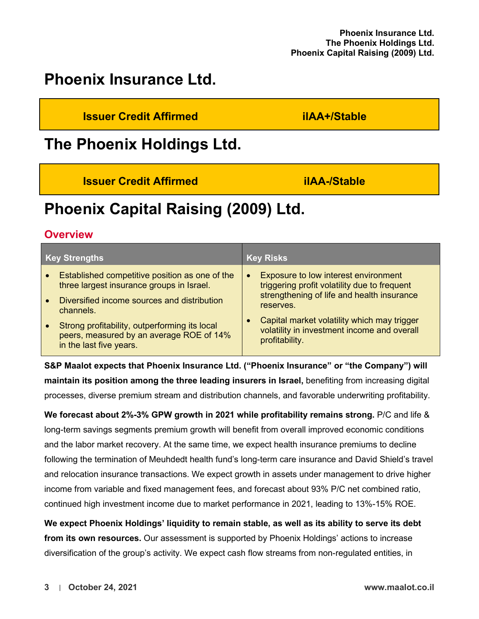# **Phoenix Insurance Ltd.**

**Issuer Credit Affirmed ilAA+/Stable**

# **The Phoenix Holdings Ltd.**

**Issuer Credit Affirmed ilAA-/Stable**

# **Phoenix Capital Raising (2009) Ltd.**

# <span id="page-2-0"></span>**Overview**

| <b>Key Strengths</b>                                                                                                              | <b>Key Risks</b>                                                                                             |
|-----------------------------------------------------------------------------------------------------------------------------------|--------------------------------------------------------------------------------------------------------------|
| Established competitive position as one of the<br>$\bullet$<br>three largest insurance groups in Israel.                          | Exposure to low interest environment<br>$\bullet$<br>triggering profit volatility due to frequent            |
| Diversified income sources and distribution<br>$\bullet$<br>channels.                                                             | strengthening of life and health insurance<br>reserves.                                                      |
| Strong profitability, outperforming its local<br>$\bullet$<br>peers, measured by an average ROE of 14%<br>in the last five years. | Capital market volatility which may trigger<br>volatility in investment income and overall<br>profitability. |

**S&P Maalot expects that Phoenix Insurance Ltd. ("Phoenix Insurance" or "the Company") will maintain its position among the three leading insurers in Israel,** benefiting from increasing digital processes, diverse premium stream and distribution channels, and favorable underwriting profitability.

**We forecast about 2%-3% GPW growth in 2021 while profitability remains strong.** P/C and life & long-term savings segments premium growth will benefit from overall improved economic conditions and the labor market recovery. At the same time, we expect health insurance premiums to decline following the termination of Meuhdedt health fund's long-term care insurance and David Shield's travel and relocation insurance transactions. We expect growth in assets under management to drive higher income from variable and fixed management fees, and forecast about 93% P/C net combined ratio, continued high investment income due to market performance in 2021, leading to 13%-15% ROE.

**We expect Phoenix Holdings' liquidity to remain stable, as well as its ability to serve its debt from its own resources.** Our assessment is supported by Phoenix Holdings' actions to increase diversification of the group's activity. We expect cash flow streams from non-regulated entities, in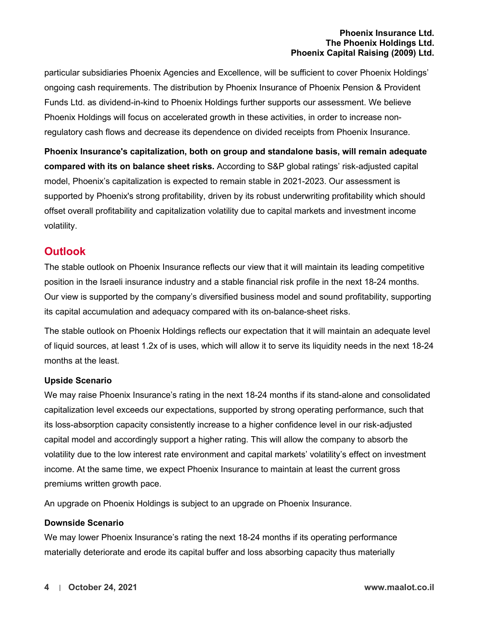particular subsidiaries Phoenix Agencies and Excellence, will be sufficient to cover Phoenix Holdings' ongoing cash requirements. The distribution by Phoenix Insurance of Phoenix Pension & Provident Funds Ltd. as dividend-in-kind to Phoenix Holdings further supports our assessment. We believe Phoenix Holdings will focus on accelerated growth in these activities, in order to increase nonregulatory cash flows and decrease its dependence on divided receipts from Phoenix Insurance.

**Phoenix Insurance's capitalization, both on group and standalone basis, will remain adequate compared with its on balance sheet risks.** According to S&P global ratings' risk-adjusted capital model, Phoenix's capitalization is expected to remain stable in 2021-2023. Our assessment is supported by Phoenix's strong profitability, driven by its robust underwriting profitability which should offset overall profitability and capitalization volatility due to capital markets and investment income volatility.

## <span id="page-3-0"></span>**Outlook**

The stable outlook on Phoenix Insurance reflects our view that it will maintain its leading competitive position in the Israeli insurance industry and a stable financial risk profile in the next 18-24 months. Our view is supported by the company's diversified business model and sound profitability, supporting its capital accumulation and adequacy compared with its on-balance-sheet risks.

The stable outlook on Phoenix Holdings reflects our expectation that it will maintain an adequate level of liquid sources, at least 1.2x of is uses, which will allow it to serve its liquidity needs in the next 18-24 months at the least.

### <span id="page-3-1"></span>**Upside Scenario**

We may raise Phoenix Insurance's rating in the next 18-24 months if its stand-alone and consolidated capitalization level exceeds our expectations, supported by strong operating performance, such that its loss-absorption capacity consistently increase to a higher confidence level in our risk-adjusted capital model and accordingly support a higher rating. This will allow the company to absorb the volatility due to the low interest rate environment and capital markets' volatility's effect on investment income. At the same time, we expect Phoenix Insurance to maintain at least the current gross premiums written growth pace.

An upgrade on Phoenix Holdings is subject to an upgrade on Phoenix Insurance.

### <span id="page-3-2"></span>**Downside Scenario**

We may lower Phoenix Insurance's rating the next 18-24 months if its operating performance materially deteriorate and erode its capital buffer and loss absorbing capacity thus materially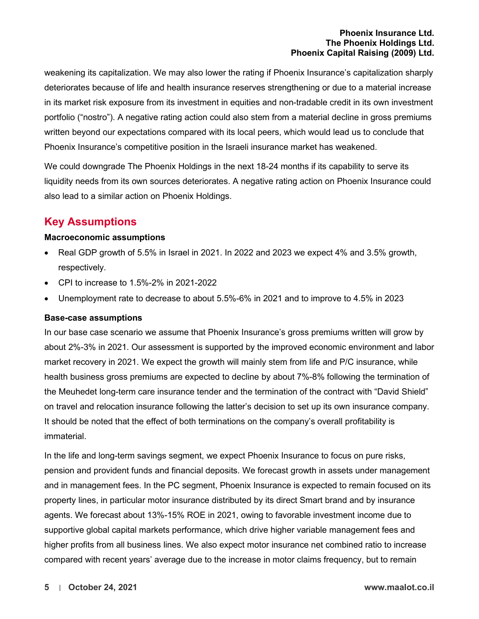weakening its capitalization. We may also lower the rating if Phoenix Insurance's capitalization sharply deteriorates because of life and health insurance reserves strengthening or due to a material increase in its market risk exposure from its investment in equities and non-tradable credit in its own investment portfolio ("nostro"). A negative rating action could also stem from a material decline in gross premiums written beyond our expectations compared with its local peers, which would lead us to conclude that Phoenix Insurance's competitive position in the Israeli insurance market has weakened.

We could downgrade The Phoenix Holdings in the next 18-24 months if its capability to serve its liquidity needs from its own sources deteriorates. A negative rating action on Phoenix Insurance could also lead to a similar action on Phoenix Holdings.

# <span id="page-4-0"></span>**Key Assumptions**

#### <span id="page-4-1"></span>**Macroeconomic assumptions**

- Real GDP growth of 5.5% in Israel in 2021. In 2022 and 2023 we expect 4% and 3.5% growth, respectively.
- CPI to increase to 1.5%-2% in 2021-2022
- Unemployment rate to decrease to about 5.5%-6% in 2021 and to improve to 4.5% in 2023

#### <span id="page-4-2"></span>**Base-case assumptions**

In our base case scenario we assume that Phoenix Insurance's gross premiums written will grow by about 2%-3% in 2021. Our assessment is supported by the improved economic environment and labor market recovery in 2021. We expect the growth will mainly stem from life and P/C insurance, while health business gross premiums are expected to decline by about 7%-8% following the termination of the Meuhedet long-term care insurance tender and the termination of the contract with "David Shield" on travel and relocation insurance following the latter's decision to set up its own insurance company. It should be noted that the effect of both terminations on the company's overall profitability is immaterial.

In the life and long-term savings segment, we expect Phoenix Insurance to focus on pure risks, pension and provident funds and financial deposits. We forecast growth in assets under management and in management fees. In the PC segment, Phoenix Insurance is expected to remain focused on its property lines, in particular motor insurance distributed by its direct Smart brand and by insurance agents. We forecast about 13%-15% ROE in 2021, owing to favorable investment income due to supportive global capital markets performance, which drive higher variable management fees and higher profits from all business lines. We also expect motor insurance net combined ratio to increase compared with recent years' average due to the increase in motor claims frequency, but to remain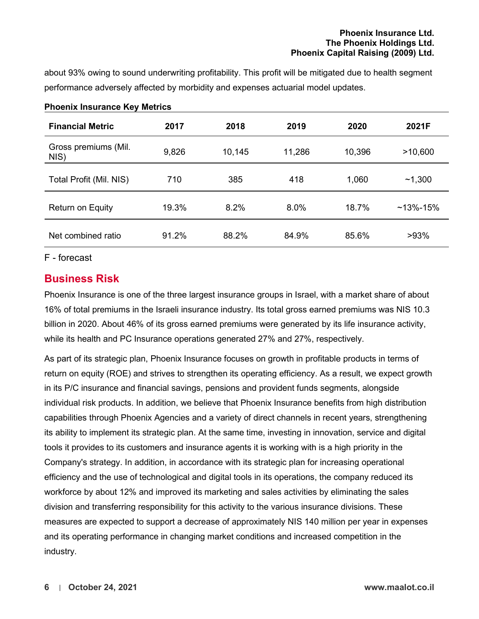about 93% owing to sound underwriting profitability. This profit will be mitigated due to health segment performance adversely affected by morbidity and expenses actuarial model updates.

| <b>Financial Metric</b>      | 2017  | 2018   | 2019   | 2020   | 2021F          |
|------------------------------|-------|--------|--------|--------|----------------|
| Gross premiums (Mil.<br>NIS) | 9,826 | 10,145 | 11,286 | 10,396 | >10,600        |
| Total Profit (Mil. NIS)      | 710   | 385    | 418    | 1,060  | ~1,300         |
| Return on Equity             | 19.3% | 8.2%   | 8.0%   | 18.7%  | $~13\% - 15\%$ |
| Net combined ratio           | 91.2% | 88.2%  | 84.9%  | 85.6%  | >93%           |

#### <span id="page-5-0"></span>**Phoenix Insurance Key Metrics**

#### <span id="page-5-1"></span>F - forecast

### **Business Risk**

Phoenix Insurance is one of the three largest insurance groups in Israel, with a market share of about 16% of total premiums in the Israeli insurance industry. Its total gross earned premiums was NIS 10.3 billion in 2020. About 46% of its gross earned premiums were generated by its life insurance activity, while its health and PC Insurance operations generated 27% and 27%, respectively.

As part of its strategic plan, Phoenix Insurance focuses on growth in profitable products in terms of return on equity (ROE) and strives to strengthen its operating efficiency. As a result, we expect growth in its P/C insurance and financial savings, pensions and provident funds segments, alongside individual risk products. In addition, we believe that Phoenix Insurance benefits from high distribution capabilities through Phoenix Agencies and a variety of direct channels in recent years, strengthening its ability to implement its strategic plan. At the same time, investing in innovation, service and digital tools it provides to its customers and insurance agents it is working with is a high priority in the Company's strategy. In addition, in accordance with its strategic plan for increasing operational efficiency and the use of technological and digital tools in its operations, the company reduced its workforce by about 12% and improved its marketing and sales activities by eliminating the sales division and transferring responsibility for this activity to the various insurance divisions. These measures are expected to support a decrease of approximately NIS 140 million per year in expenses and its operating performance in changing market conditions and increased competition in the industry.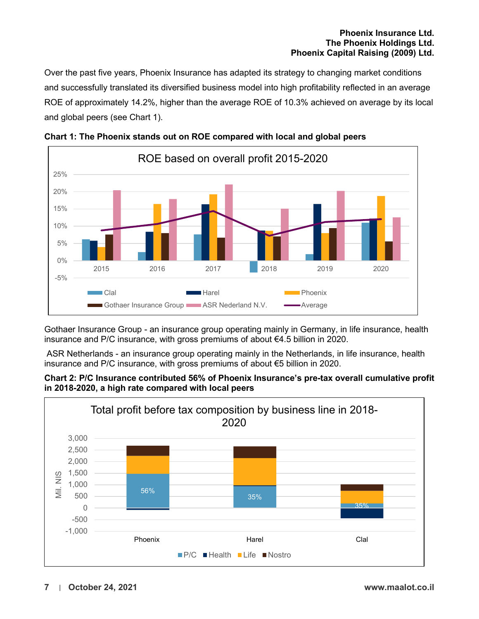Over the past five years, Phoenix Insurance has adapted its strategy to changing market conditions and successfully translated its diversified business model into high profitability reflected in an average ROE of approximately 14.2%, higher than the average ROE of 10.3% achieved on average by its local and global peers (see Chart 1).





Gothaer Insurance Group - an insurance group operating mainly in Germany, in life insurance, health insurance and P/C insurance, with gross premiums of about €4.5 billion in 2020.

ASR Netherlands - an insurance group operating mainly in the Netherlands, in life insurance, health insurance and P/C insurance, with gross premiums of about €5 billion in 2020.



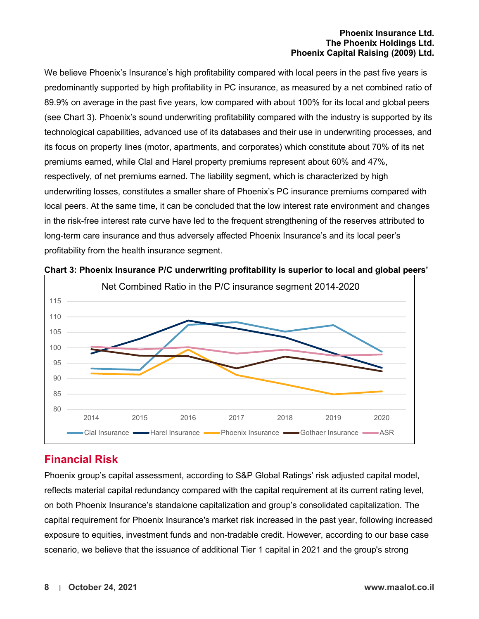We believe Phoenix's Insurance's high profitability compared with local peers in the past five years is predominantly supported by high profitability in PC insurance, as measured by a net combined ratio of 89.9% on average in the past five years, low compared with about 100% for its local and global peers (see Chart 3). Phoenix's sound underwriting profitability compared with the industry is supported by its technological capabilities, advanced use of its databases and their use in underwriting processes, and its focus on property lines (motor, apartments, and corporates) which constitute about 70% of its net premiums earned, while Clal and Harel property premiums represent about 60% and 47%, respectively, of net premiums earned. The liability segment, which is characterized by high underwriting losses, constitutes a smaller share of Phoenix's PC insurance premiums compared with local peers. At the same time, it can be concluded that the low interest rate environment and changes in the risk-free interest rate curve have led to the frequent strengthening of the reserves attributed to long-term care insurance and thus adversely affected Phoenix Insurance's and its local peer's profitability from the health insurance segment.



#### **Chart 3: Phoenix Insurance P/C underwriting profitability is superior to local and global peers'**

# <span id="page-7-0"></span>**Financial Risk**

Phoenix group's capital assessment, according to S&P Global Ratings' risk adjusted capital model, reflects material capital redundancy compared with the capital requirement at its current rating level, on both Phoenix Insurance's standalone capitalization and group's consolidated capitalization. The capital requirement for Phoenix Insurance's market risk increased in the past year, following increased exposure to equities, investment funds and non-tradable credit. However, according to our base case scenario, we believe that the issuance of additional Tier 1 capital in 2021 and the group's strong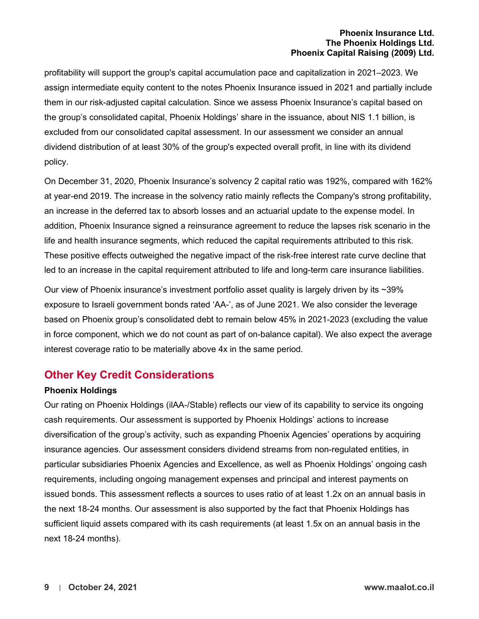profitability will support the group's capital accumulation pace and capitalization in 2021–2023. We assign intermediate equity content to the notes Phoenix Insurance issued in 2021 and partially include them in our risk-adjusted capital calculation. Since we assess Phoenix Insurance's capital based on the group's consolidated capital, Phoenix Holdings' share in the issuance, about NIS 1.1 billion, is excluded from our consolidated capital assessment. In our assessment we consider an annual dividend distribution of at least 30% of the group's expected overall profit, in line with its dividend policy.

On December 31, 2020, Phoenix Insurance's solvency 2 capital ratio was 192%, compared with 162% at year-end 2019. The increase in the solvency ratio mainly reflects the Company's strong profitability, an increase in the deferred tax to absorb losses and an actuarial update to the expense model. In addition, Phoenix Insurance signed a reinsurance agreement to reduce the lapses risk scenario in the life and health insurance segments, which reduced the capital requirements attributed to this risk. These positive effects outweighed the negative impact of the risk-free interest rate curve decline that led to an increase in the capital requirement attributed to life and long-term care insurance liabilities.

Our view of Phoenix insurance's investment portfolio asset quality is largely driven by its ~39% exposure to Israeli government bonds rated 'AA-', as of June 2021. We also consider the leverage based on Phoenix group's consolidated debt to remain below 45% in 2021-2023 (excluding the value in force component, which we do not count as part of on-balance capital). We also expect the average interest coverage ratio to be materially above 4x in the same period.

## <span id="page-8-0"></span>**Other Key Credit Considerations**

### <span id="page-8-1"></span>**Phoenix Holdings**

Our rating on Phoenix Holdings (ilAA-/Stable) reflects our view of its capability to service its ongoing cash requirements. Our assessment is supported by Phoenix Holdings' actions to increase diversification of the group's activity, such as expanding Phoenix Agencies' operations by acquiring insurance agencies. Our assessment considers dividend streams from non-regulated entities, in particular subsidiaries Phoenix Agencies and Excellence, as well as Phoenix Holdings' ongoing cash requirements, including ongoing management expenses and principal and interest payments on issued bonds. This assessment reflects a sources to uses ratio of at least 1.2x on an annual basis in the next 18-24 months. Our assessment is also supported by the fact that Phoenix Holdings has sufficient liquid assets compared with its cash requirements (at least 1.5x on an annual basis in the next 18-24 months).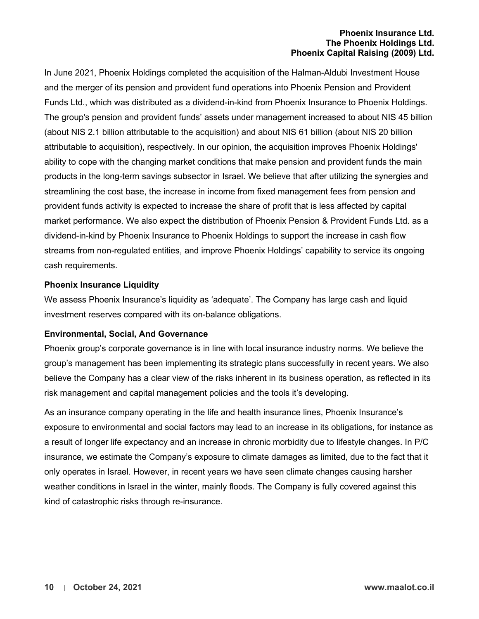In June 2021, Phoenix Holdings completed the acquisition of the Halman-Aldubi Investment House and the merger of its pension and provident fund operations into Phoenix Pension and Provident Funds Ltd., which was distributed as a dividend-in-kind from Phoenix Insurance to Phoenix Holdings. The group's pension and provident funds' assets under management increased to about NIS 45 billion (about NIS 2.1 billion attributable to the acquisition) and about NIS 61 billion (about NIS 20 billion attributable to acquisition), respectively. In our opinion, the acquisition improves Phoenix Holdings' ability to cope with the changing market conditions that make pension and provident funds the main products in the long-term savings subsector in Israel. We believe that after utilizing the synergies and streamlining the cost base, the increase in income from fixed management fees from pension and provident funds activity is expected to increase the share of profit that is less affected by capital market performance. We also expect the distribution of Phoenix Pension & Provident Funds Ltd. as a dividend-in-kind by Phoenix Insurance to Phoenix Holdings to support the increase in cash flow streams from non-regulated entities, and improve Phoenix Holdings' capability to service its ongoing cash requirements.

#### <span id="page-9-0"></span>**Phoenix Insurance Liquidity**

We assess Phoenix Insurance's liquidity as 'adequate'. The Company has large cash and liquid investment reserves compared with its on-balance obligations.

#### <span id="page-9-1"></span>**Environmental, Social, And Governance**

Phoenix group's corporate governance is in line with local insurance industry norms. We believe the group's management has been implementing its strategic plans successfully in recent years. We also believe the Company has a clear view of the risks inherent in its business operation, as reflected in its risk management and capital management policies and the tools it's developing.

As an insurance company operating in the life and health insurance lines, Phoenix Insurance's exposure to environmental and social factors may lead to an increase in its obligations, for instance as a result of longer life expectancy and an increase in chronic morbidity due to lifestyle changes. In P/C insurance, we estimate the Company's exposure to climate damages as limited, due to the fact that it only operates in Israel. However, in recent years we have seen climate changes causing harsher weather conditions in Israel in the winter, mainly floods. The Company is fully covered against this kind of catastrophic risks through re-insurance.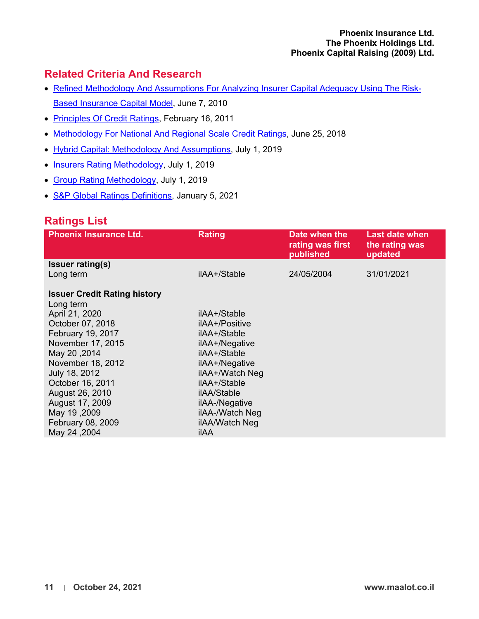# <span id="page-10-0"></span>**Related Criteria And Research**

- Refined Methodology And [Assumptions For Analyzing Insurer Capital Adequacy Using The Risk-](http://www.maalot.co.il/PDFViewer/Criteria/97)[Based Insurance Capital Model,](http://www.maalot.co.il/PDFViewer/Criteria/97) June 7, 2010
- [Principles Of Credit Ratings,](http://www.maalot.co.il/PDFViewer/Criteria/29) February 16, 2011
- [Methodology For National And Regional Scale Credit Ratings,](http://www.maalot.co.il/PDFViewer/Criteria/438) June 25, 2018
- [Hybrid Capital: Methodology And Assumptions,](http://www.maalot.co.il/PDFViewer/Criteria/465) July 1, 2019
- [Insurers Rating Methodology,](http://www.maalot.co.il/PDFViewer/Criteria/466) July 1, 2019
- [Group Rating Methodology,](http://www.maalot.co.il/PDFViewer/Criteria/467) July 1, 2019
- **S&P Global Ratings Definitions**, January 5, 2021

# <span id="page-10-1"></span>**Ratings List**

| <b>Phoenix Insurance Ltd.</b>                    | <b>Rating</b>   | Date when the<br>rating was first<br>published | <b>Last date when</b><br>the rating was<br>updated |
|--------------------------------------------------|-----------------|------------------------------------------------|----------------------------------------------------|
| <b>Issuer rating(s)</b>                          |                 |                                                |                                                    |
| Long term                                        | ilAA+/Stable    | 24/05/2004                                     | 31/01/2021                                         |
| <b>Issuer Credit Rating history</b><br>Long term |                 |                                                |                                                    |
| April 21, 2020                                   | ilAA+/Stable    |                                                |                                                    |
| October 07, 2018                                 | ilAA+/Positive  |                                                |                                                    |
| February 19, 2017                                | ilAA+/Stable    |                                                |                                                    |
| November 17, 2015                                | ilAA+/Negative  |                                                |                                                    |
| May 20, 2014                                     | ilAA+/Stable    |                                                |                                                    |
| November 18, 2012                                | ilAA+/Negative  |                                                |                                                    |
| July 18, 2012                                    | ilAA+/Watch Neg |                                                |                                                    |
| October 16, 2011                                 | ilAA+/Stable    |                                                |                                                    |
| August 26, 2010                                  | ilAA/Stable     |                                                |                                                    |
| August 17, 2009                                  | ilAA-/Negative  |                                                |                                                    |
| May 19, 2009                                     | ilAA-/Watch Neg |                                                |                                                    |
| February 08, 2009                                | ilAA/Watch Neg  |                                                |                                                    |
| May 24, 2004                                     | ilAA            |                                                |                                                    |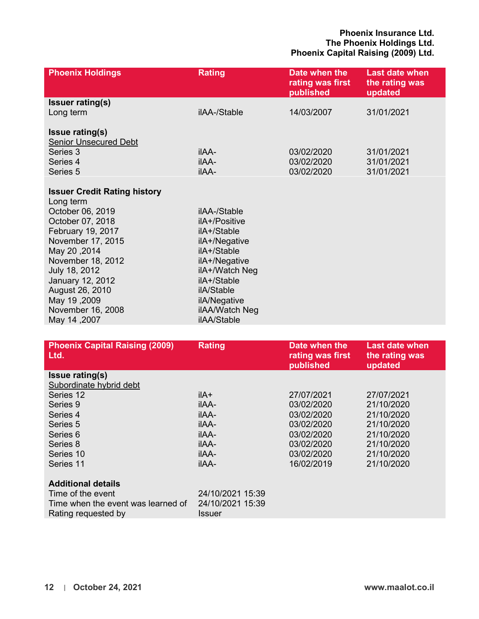| <b>Phoenix Holdings</b>                                                                                                                                                                                                                                                             | <b>Rating</b>                                                                                                                                                                                 | Date when the<br>rating was first<br>published | <b>Last date when</b><br>the rating was<br>updated |
|-------------------------------------------------------------------------------------------------------------------------------------------------------------------------------------------------------------------------------------------------------------------------------------|-----------------------------------------------------------------------------------------------------------------------------------------------------------------------------------------------|------------------------------------------------|----------------------------------------------------|
| <b>Issuer rating(s)</b><br>Long term                                                                                                                                                                                                                                                | ilAA-/Stable                                                                                                                                                                                  | 14/03/2007                                     | 31/01/2021                                         |
| <b>Issue rating(s)</b><br><b>Senior Unsecured Debt</b><br>Series 3<br>Series 4<br>Series 5                                                                                                                                                                                          | <b>ilAA-</b><br><b>ilAA-</b><br>ilAA-                                                                                                                                                         | 03/02/2020<br>03/02/2020<br>03/02/2020         | 31/01/2021<br>31/01/2021<br>31/01/2021             |
| <b>Issuer Credit Rating history</b><br>Long term<br>October 06, 2019<br>October 07, 2018<br>February 19, 2017<br>November 17, 2015<br>May 20, 2014<br>November 18, 2012<br>July 18, 2012<br>January 12, 2012<br>August 26, 2010<br>May 19,2009<br>November 16, 2008<br>May 14, 2007 | ilAA-/Stable<br>ilA+/Positive<br>ilA+/Stable<br>ilA+/Negative<br>ilA+/Stable<br>ilA+/Negative<br>ilA+/Watch Neg<br>ilA+/Stable<br>ilA/Stable<br>ilA/Negative<br>ilAA/Watch Neg<br>ilAA/Stable |                                                |                                                    |

| <b>Phoenix Capital Raising (2009)</b><br>Ltd. | <b>Rating</b>    | Date when the<br>rating was first<br>published | <b>Last date when</b><br>the rating was<br>updated |
|-----------------------------------------------|------------------|------------------------------------------------|----------------------------------------------------|
| <b>Issue rating(s)</b>                        |                  |                                                |                                                    |
| Subordinate hybrid debt                       |                  |                                                |                                                    |
| Series 12                                     | ilA+             | 27/07/2021                                     | 27/07/2021                                         |
| Series 9                                      | <b>ilAA-</b>     | 03/02/2020                                     | 21/10/2020                                         |
| Series 4                                      | <b>ilAA-</b>     | 03/02/2020                                     | 21/10/2020                                         |
| Series 5                                      | <b>ilAA-</b>     | 03/02/2020                                     | 21/10/2020                                         |
| Series 6                                      | <b>ilAA-</b>     | 03/02/2020                                     | 21/10/2020                                         |
| Series 8                                      | <b>ilAA-</b>     | 03/02/2020                                     | 21/10/2020                                         |
| Series 10                                     | <b>ilAA-</b>     | 03/02/2020                                     | 21/10/2020                                         |
| Series 11                                     | <b>ilAA-</b>     | 16/02/2019                                     | 21/10/2020                                         |
| <b>Additional details</b>                     |                  |                                                |                                                    |
| Time of the event                             | 24/10/2021 15:39 |                                                |                                                    |
| Time when the event was learned of            | 24/10/2021 15:39 |                                                |                                                    |
| Rating requested by                           | Issuer           |                                                |                                                    |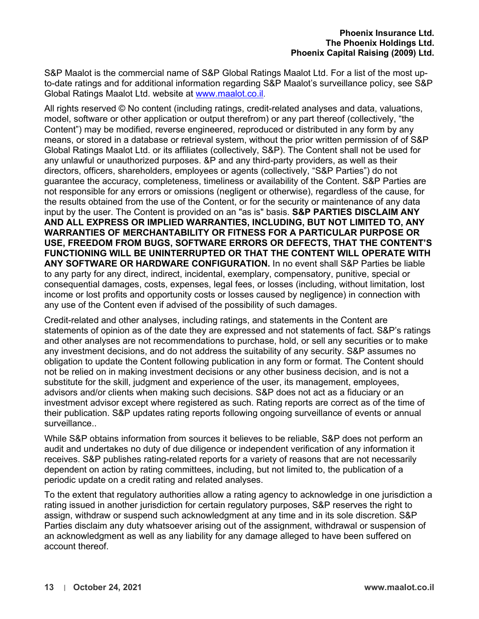S&P Maalot is the commercial name of S&P Global Ratings Maalot Ltd. For a list of the most upto-date ratings and for additional information regarding S&P Maalot's surveillance policy, see S&P Global Ratings Maalot Ltd. website at [www.maalot.co.il.](http://www.maalot.co.il/)

All rights reserved © No content (including ratings, credit-related analyses and data, valuations, model, software or other application or output therefrom) or any part thereof (collectively, "the Content") may be modified, reverse engineered, reproduced or distributed in any form by any means, or stored in a database or retrieval system, without the prior written permission of of S&P Global Ratings Maalot Ltd. or its affiliates (collectively, S&P). The Content shall not be used for any unlawful or unauthorized purposes. &P and any third-party providers, as well as their directors, officers, shareholders, employees or agents (collectively, "S&P Parties") do not guarantee the accuracy, completeness, timeliness or availability of the Content. S&P Parties are not responsible for any errors or omissions (negligent or otherwise), regardless of the cause, for the results obtained from the use of the Content, or for the security or maintenance of any data input by the user. The Content is provided on an "as is" basis. **S&P PARTIES DISCLAIM ANY AND ALL EXPRESS OR IMPLIED WARRANTIES, INCLUDING, BUT NOT LIMITED TO, ANY WARRANTIES OF MERCHANTABILITY OR FITNESS FOR A PARTICULAR PURPOSE OR USE, FREEDOM FROM BUGS, SOFTWARE ERRORS OR DEFECTS, THAT THE CONTENT'S FUNCTIONING WILL BE UNINTERRUPTED OR THAT THE CONTENT WILL OPERATE WITH ANY SOFTWARE OR HARDWARE CONFIGURATION.** In no event shall S&P Parties be liable to any party for any direct, indirect, incidental, exemplary, compensatory, punitive, special or consequential damages, costs, expenses, legal fees, or losses (including, without limitation, lost income or lost profits and opportunity costs or losses caused by negligence) in connection with any use of the Content even if advised of the possibility of such damages.

Credit-related and other analyses, including ratings, and statements in the Content are statements of opinion as of the date they are expressed and not statements of fact. S&P's ratings and other analyses are not recommendations to purchase, hold, or sell any securities or to make any investment decisions, and do not address the suitability of any security. S&P assumes no obligation to update the Content following publication in any form or format. The Content should not be relied on in making investment decisions or any other business decision, and is not a substitute for the skill, judgment and experience of the user, its management, employees, advisors and/or clients when making such decisions. S&P does not act as a fiduciary or an investment advisor except where registered as such. Rating reports are correct as of the time of their publication. S&P updates rating reports following ongoing surveillance of events or annual surveillance..

While S&P obtains information from sources it believes to be reliable, S&P does not perform an audit and undertakes no duty of due diligence or independent verification of any information it receives. S&P publishes rating-related reports for a variety of reasons that are not necessarily dependent on action by rating committees, including, but not limited to, the publication of a periodic update on a credit rating and related analyses.

To the extent that regulatory authorities allow a rating agency to acknowledge in one jurisdiction a rating issued in another jurisdiction for certain regulatory purposes, S&P reserves the right to assign, withdraw or suspend such acknowledgment at any time and in its sole discretion. S&P Parties disclaim any duty whatsoever arising out of the assignment, withdrawal or suspension of an acknowledgment as well as any liability for any damage alleged to have been suffered on account thereof.